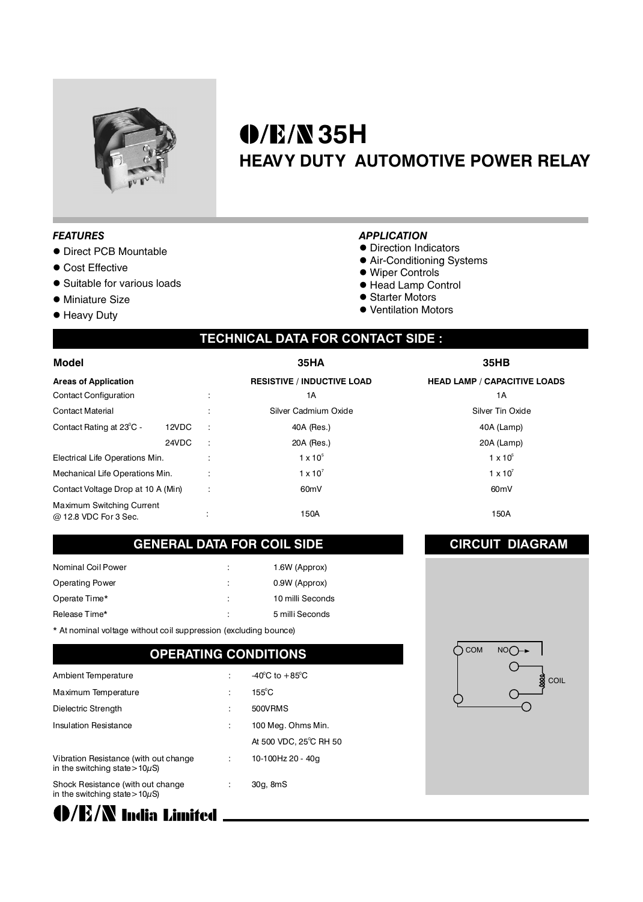

# **35H HEAVY DUTY AUTOMOTIVE POWER RELAY**

#### *FEATURES*

- **Direct PCB Mountable**
- **Cost Effective**
- **•** Suitable for various loads
- **· Miniature Size**
- **•** Heavy Duty

#### *APPLICATION*

- **Direction Indicators**
- **Air-Conditioning Systems**
- Wiper Controls
- Head Lamp Control
- **Starter Motors**
- Ventilation Motors

## **TECHNICAL DATA FOR CONTACT SIDE :**

| Model<br><b>Areas of Application</b><br><b>Contact Configuration</b> |       |                          | <b>35HA</b><br><b>RESISTIVE / INDUCTIVE LOAD</b><br>1А | 35HB<br><b>HEAD LAMP / CAPACITIVE LOADS</b><br>1А |
|----------------------------------------------------------------------|-------|--------------------------|--------------------------------------------------------|---------------------------------------------------|
|                                                                      |       |                          |                                                        |                                                   |
|                                                                      |       |                          |                                                        |                                                   |
| <b>Contact Material</b>                                              |       | $\overline{\phantom{a}}$ | Silver Cadmium Oxide                                   | <b>Silver Tin Oxide</b>                           |
| Contact Rating at 23°C -                                             | 12VDC | $\ddot{\phantom{a}}$     | 40A (Res.)                                             | 40A (Lamp)                                        |
|                                                                      | 24VDC | $\ddot{\phantom{a}}$     | 20A (Res.)                                             | 20A (Lamp)                                        |
| Electrical Life Operations Min.                                      |       |                          | $1 \times 10^5$                                        | $1 \times 10^5$                                   |
| Mechanical Life Operations Min.                                      |       |                          | $1 \times 10^{7}$                                      | $1 \times 10^7$                                   |
| Contact Voltage Drop at 10 A (Min)                                   |       | ٠<br>$\cdot$             | 60 <sub>m</sub> V                                      | 60 <sub>m</sub> V                                 |
| Maximum Switching Current<br>@ 12.8 VDC For 3 Sec.                   |       |                          | 150A                                                   | 150A                                              |

#### **GENERAL DATA FOR COIL SIDE**

| Nominal Coil Power     |   | 1.6W (Approx)    |
|------------------------|---|------------------|
| <b>Operating Power</b> |   | 0.9W (Approx)    |
| Operate Time*          | ÷ | 10 milli Seconds |
| Release Time*          | ÷ | 5 milli Seconds  |

\* At nominal voltage without coil suppression (excluding bounce)

## **OPERATING CONDITIONS**

| Ambient Temperature                                                           | $-40^{\circ}$ C to $+85^{\circ}$ C |
|-------------------------------------------------------------------------------|------------------------------------|
| Maximum Temperature                                                           | $155^{\circ}$ C                    |
| Dielectric Strength                                                           | 500VRMS                            |
| <b>Insulation Resistance</b>                                                  | 100 Meg. Ohms Min.                 |
|                                                                               | At 500 VDC, 25°C RH 50             |
| Vibration Resistance (with out change)<br>in the switching state > $10\mu$ S) | 10-100Hz 20 - 40g                  |
| Shock Resistance (with out change<br>in the switching state > $10\mu$ S)      | 30g, 8mS                           |

 $\bigcirc$  COM NOO  $\rightarrow$ **COIL** 

**CIRCUIT DIAGRAM**

 $\bigcirc$ /E/N India Limited